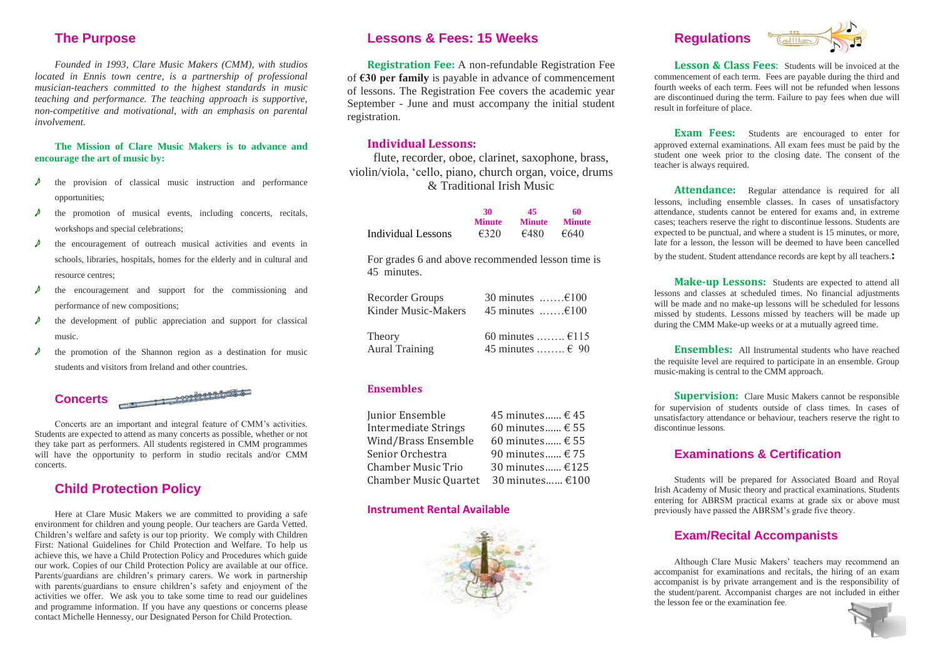# **The Purpose**

*Founded in 1993, Clare Music Makers (CMM), with studios located in Ennis town centre, is a partnership of professional musician-teachers committed to the highest standards in music teaching and performance. The teaching approach is supportive, non-competitive and motivational, with an emphasis on parental involvement.*

#### **The Mission of Clare Music Makers is to advance and encourage the art of music by:**

- the provision of classical music instruction and performance opportunities;
- the promotion of musical events, including concerts, recitals, workshops and special celebrations;
- the encouragement of outreach musical activities and events in schools, libraries, hospitals, homes for the elderly and in cultural and resource centres;
- e the encouragement and support for the commissioning and performance of new compositions;
- the development of public appreciation and support for classical music.
- $\lambda$  the promotion of the Shannon region as a destination for music students and visitors from Ireland and other countries.

**Concerts**

Concerts are an important and integral feature of CMM's activities. Students are expected to attend as many concerts as possible, whether or not they take part as performers. All students registered in CMM programmes will have the opportunity to perform in studio recitals and/or CMM concerts.

### **Child Protection Policy**

Here at Clare Music Makers we are committed to providing a safe environment for children and young people. Our teachers are Garda Vetted. Children's welfare and safety is our top priority. We comply with Children First: National Guidelines for Child Protection and Welfare. To help us achieve this, we have a Child Protection Policy and Procedures which guide our work. Copies of our Child Protection Policy are available at our office. Parents/guardians are children's primary carers. We work in partnership with parents/guardians to ensure children's safety and enjoyment of the activities we offer. We ask you to take some time to read our guidelines and programme information. If you have any questions or concerns please contact Michelle Hennessy, our Designated Person for Child Protection.

## **Lessons & Fees: 15 Weeks**

**Registration Fee:** A non-refundable Registration Fee of **€30 per family** is payable in advance of commencement of lessons. The Registration Fee covers the academic year September - June and must accompany the initial student registration.

#### **Individual Lessons:**

flute, recorder, oboe, clarinet, saxophone, brass, violin/viola, 'cello, piano, church organ, voice, drums & Traditional Irish Music

|                    | 30             | 45            | 60            |
|--------------------|----------------|---------------|---------------|
|                    | <b>Minute</b>  | <b>Minute</b> | <b>Minute</b> |
| Individual Lessons | $\epsilon$ 320 | €480          | €640          |

For grades 6 and above recommended lesson time is 45 minutes.

| Recorder Groups       | 30 minutes $\dots \dots \in 100$ |
|-----------------------|----------------------------------|
| Kinder Music-Makers   | 45 minutes $\dots \dots \in 100$ |
| Theory                | 60 minutes $\epsilon$ 115        |
| <b>Aural Training</b> | 45 minutes $\epsilon$ 90         |

#### **Ensembles**

| 45 minutes € 45     |
|---------------------|
| 60 minutes € 55     |
| 60 minutes $\in$ 55 |
| 90 minutes $\in$ 75 |
| 30 minutes €125     |
| 30 minutes €100     |
|                     |

#### **Instrument Rental Available**







**Lesson & Class Fees**: Students will be invoiced at the commencement of each term. Fees are payable during the third and fourth weeks of each term. Fees will not be refunded when lessons are discontinued during the term. Failure to pay fees when due will result in forfeiture of place.

**Exam Fees:** Students are encouraged to enter for approved external examinations. All exam fees must be paid by the student one week prior to the closing date. The consent of the teacher is always required.

Attendance: Regular attendance is required for all lessons, including ensemble classes. In cases of unsatisfactory attendance, students cannot be entered for exams and, in extreme cases; teachers reserve the right to discontinue lessons. Students are expected to be punctual, and where a student is 15 minutes, or more, late for a lesson, the lesson will be deemed to have been cancelled by the student. Student attendance records are kept by all teachers.**:**

**Make-up Lessons:** Students are expected to attend all lessons and classes at scheduled times. No financial adjustments will be made and no make-up lessons will be scheduled for lessons missed by students. Lessons missed by teachers will be made up during the CMM Make-up weeks or at a mutually agreed time.

**Ensembles:** All Instrumental students who have reached the requisite level are required to participate in an ensemble. Group music-making is central to the CMM approach.

**Supervision:** Clare Music Makers cannot be responsible for supervision of students outside of class times. In cases of unsatisfactory attendance or behaviour, teachers reserve the right to discontinue lessons.

#### **Examinations & Certification**

Students will be prepared for Associated Board and Royal Irish Academy of Music theory and practical examinations. Students entering for ABRSM practical exams at grade six or above must previously have passed the ABRSM's grade five theory.

#### **Exam/Recital Accompanists**

Although Clare Music Makers' teachers may recommend an accompanist for examinations and recitals, the hiring of an exam accompanist is by private arrangement and is the responsibility of the student/parent. Accompanist charges are not included in either the lesson fee or the examination fee.